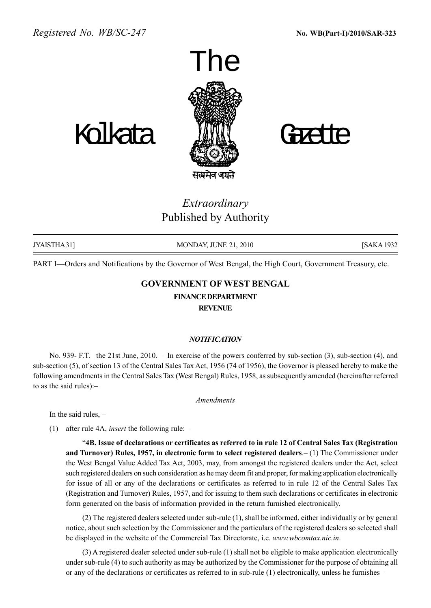



सत्यमेव जयते

# Extraordinary Published by Authority

JYAISTHA31] MONDAY, JUNE 21, 2010 [SAKA 1932

PART I—Orders and Notifications by the Governor of West Bengal, the High Court, Government Treasury, etc.

# GOVERNMENT OF WEST BENGAL

#### FINANCEDEPARTMENT

**REVENUE** 

#### **NOTIFICATION**

No. 939- F.T. – the 21st June,  $2010$ . In exercise of the powers conferred by sub-section (3), sub-section (4), and sub-section (5), of section 13 of the Central Sales Tax Act, 1956 (74 of 1956), the Governor is pleased hereby to make the following amendments in the Central Sales Tax (West Bengal) Rules, 1958, as subsequently amended (hereinafter referred to as the said rules): $-$ 

**Amendments** 

In the said rules,  $-$ 

(1) after rule 4A, *insert* the following rule: $-$ 

ì4B. Issue of declarations or certificates as referred to in rule 12 of Central Sales Tax (Registration and Turnover) Rules, 1957, in electronic form to select registered dealers. $-$  (1) The Commissioner under the West Bengal Value Added Tax Act, 2003, may, from amongst the registered dealers under the Act, select such registered dealers on such consideration as he may deem fit and proper, for making application electronically for issue of all or any of the declarations or certificates as referred to in rule 12 of the Central Sales Tax (Registration and Turnover) Rules, 1957, and for issuing to them such declarations or certificates in electronic form generated on the basis of information provided in the return furnished electronically.

(2) The registered dealers selected under sub-rule (1), shall be informed, either individually or by general notice, about such selection by the Commissioner and the particulars of the registered dealers so selected shall be displayed in the website of the Commercial Tax Directorate, i.e. www.wbcomtax.nic.in.

(3) A registered dealer selected under sub-rule (1) shall not be eligible to make application electronically under sub-rule (4) to such authority as may be authorized by the Commissioner for the purpose of obtaining all or any of the declarations or certificates as referred to in sub-rule (1) electronically, unless he furnishes—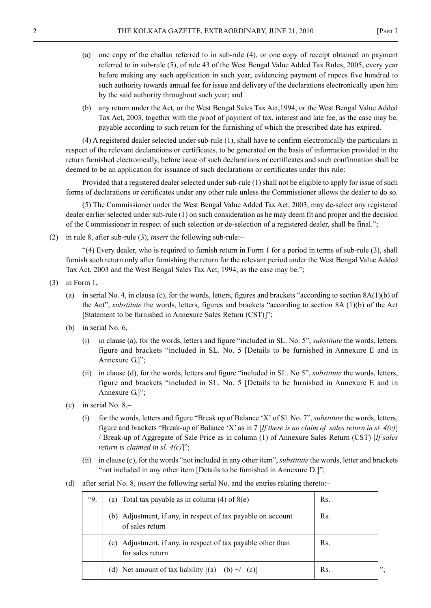- (a) one copy of the challan referred to in sub-rule (4), or one copy of receipt obtained on payment referred to in sub-rule (5), of rule 43 of the West Bengal Value Added Tax Rules, 2005, every year before making any such application in such year, evidencing payment of rupees five hundred to such authority towards annual fee for issue and delivery of the declarations electronically upon him by the said authority throughout such year; and
- (b) any return under the Act, or the West Bengal Sales Tax Act,1994, or the West Bengal Value Added Tax Act, 2003, together with the proof of payment of tax, interest and late fee, as the case may be, payable according to such return for the furnishing of which the prescribed date has expired.

(4) A registered dealer selected under sub-rule (1), shall have to confirm electronically the particulars in respect of the relevant declarations or certificates, to be generated on the basis of information provided in the return furnished electronically, before issue of such declarations or certificates and such confirmation shall be deemed to be an application for issuance of such declarations or certificates under this rule:

Provided that a registered dealer selected under sub-rule (1) shall not be eligible to apply for issue of such forms of declarations or certificates under any other rule unless the Commissioner allows the dealer to do so.

(5) The Commissioner under the West Bengal Value Added Tax Act, 2003, may de-select any registered dealer earlier selected under sub-rule (1) on such consideration as he may deem fit and proper and the decision of the Commissioner in respect of such selection or de-selection of a registered dealer, shall be final.î;

(2) in rule 8, after sub-rule (3), *insert* the following sub-rule: $-$ 

 $\degree$ (4) Every dealer, who is required to furnish return in Form 1 for a period in terms of sub-rule (3), shall furnish such return only after furnishing the return for the relevant period under the West Bengal Value Added Tax Act, 2003 and the West Bengal Sales Tax Act, 1994, as the case may be.";

- (3) in Form  $1, -$ 
	- (a) in serial No. 4, in clause (c), for the words, letters, figures and brackets "according to section  $8A(1)(b)$  of the Act", *substitute* the words, letters, figures and brackets "according to section 8A  $(1)(b)$  of the Act [Statement to be furnished in Annexure Sales Return (CST)]";
	- (b) in serial No.  $6, -$ 
		- (i) in clause (a), for the words, letters and figure "included in SL. No.  $5$ ", *substitute* the words, letters, figure and brackets "included in SL. No. 5 [Details to be furnished in Annexure E and in Annexure  $G$ ]";
		- (ii) in clause (d), for the words, letters and figure "included in SL. No  $5$ ", *substitute* the words, letters, figure and brackets "included in SL. No. 5 [Details to be furnished in Annexure E and in Annexure  $G$ ]";
	- (c) in serial No.  $8$ , $-$ 
		- (i) for the words, letters and figure "Break up of Balance  $X'$  of Sl. No. 7", *substitute* the words, letters, figure and brackets "Break-up of Balance 'X' as in 7 [If there is no claim of sales return in sl.  $4(c)$ ] / Break-up of Aggregate of Sale Price as in column (1) of Annexure Sales Return (CST) [If sales return is claimed in sl.  $4(c)$ ]";
		- (ii) in clause (c), for the words "not included in any other item", *substitute* the words, letter and brackets "not included in any other item [Details to be furnished in Annexure  $D$ .]";
	- (d) after serial No. 8, *insert* the following serial No. and the entries relating thereto: $-$

| $^{49}$ | (a) Total tax payable as in column $(4)$ of $8(e)$                                  | Rs. |       |
|---------|-------------------------------------------------------------------------------------|-----|-------|
|         | (b) Adjustment, if any, in respect of tax payable on account<br>of sales return     | Rs. |       |
|         | Adjustment, if any, in respect of tax payable other than<br>(c)<br>for sales return | Rs. |       |
|         | (d) Net amount of tax liability $[(a) - (b) +/-(c)]$                                | Rs. | , 22. |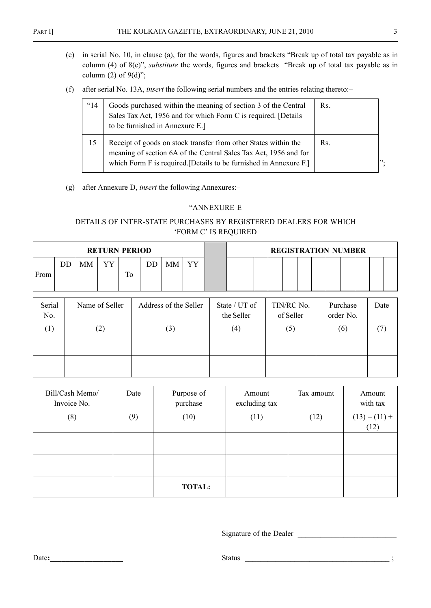$\equiv$ 

- (e) in serial No. 10, in clause (a), for the words, figures and brackets "Break up of total tax payable as in column (4) of  $8(e)$ ", substitute the words, figures and brackets "Break up of total tax payable as in column (2) of  $9(d)$ ";
- (f) after serial No. 13A, *insert* the following serial numbers and the entries relating thereto: $-\frac{1}{2}$

| $^{\circ}14$ | Goods purchased within the meaning of section 3 of the Central<br>Sales Tax Act, 1956 and for which Form C is required. [Details<br>to be furnished in Annexure E.                                        | Rs. |     |
|--------------|-----------------------------------------------------------------------------------------------------------------------------------------------------------------------------------------------------------|-----|-----|
|              | Receipt of goods on stock transfer from other States within the<br>meaning of section 6A of the Central Sales Tax Act, 1956 and for<br>which Form F is required. [Details to be furnished in Annexure F.] | Rs. | 99. |

(g) after Annexure D, insert the following Annexures: $-$ 

### "ANNEXURE E

### DETAILS OF INTER-STATE PURCHASES BY REGISTERED DEALERS FOR WHICH **'FORM C' IS REQUIRED**

|      |    |    |            | <b>RETURN PERIOD</b> |    |            |  |  |  |  | <b>REGISTRATION NUMBER</b> |  |  |
|------|----|----|------------|----------------------|----|------------|--|--|--|--|----------------------------|--|--|
|      | DD | MМ | <b>AZT</b> |                      | MМ | <b>AZA</b> |  |  |  |  |                            |  |  |
| From |    |    |            | IО                   |    |            |  |  |  |  |                            |  |  |
|      |    |    |            |                      |    |            |  |  |  |  |                            |  |  |

| Serial<br>No. | Name of Seller | Address of the Seller | State / UT of<br>the Seller | TIN/RC No.<br>of Seller | Purchase<br>order No. | Date |
|---------------|----------------|-----------------------|-----------------------------|-------------------------|-----------------------|------|
|               | (2)            | (3)                   | (4)                         | (5)                     | (6)                   |      |
|               |                |                       |                             |                         |                       |      |
|               |                |                       |                             |                         |                       |      |

| Bill/Cash Memo/<br>Invoice No. | Date | Purpose of<br>purchase | Amount<br>excluding tax | Tax amount | Amount<br>with tax      |
|--------------------------------|------|------------------------|-------------------------|------------|-------------------------|
| (8)                            | (9)  | (10)                   | (11)                    | (12)       | $(13) = (11) +$<br>(12) |
|                                |      |                        |                         |            |                         |
|                                |      |                        |                         |            |                         |
|                                |      | <b>TOTAL:</b>          |                         |            |                         |

Signature of the Dealer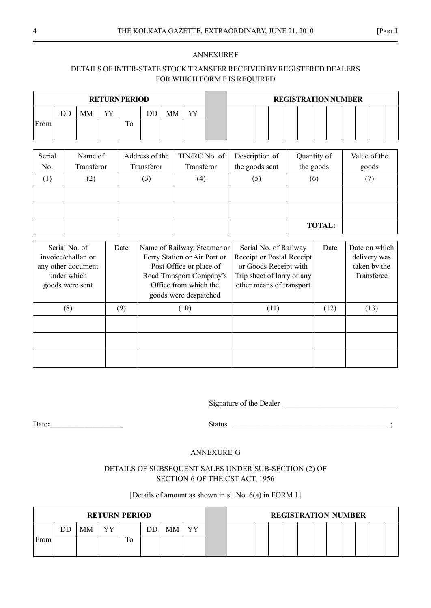#### ANNEXURE F

## DETAILS OF INTER-STATE STOCK TRANSFER RECEIVED BY REGISTERED DEALERS FOR WHICH FORM F IS REQUIRED

|      |    |    |    | <b>RETURN PERIOD</b> |    |    |     |  |  |  |  | <b>REGISTRATION NUMBER</b> |  |  |
|------|----|----|----|----------------------|----|----|-----|--|--|--|--|----------------------------|--|--|
|      | DD | MM | vv |                      | DD | МM | XAZ |  |  |  |  |                            |  |  |
| From |    |    |    | m<br>10              |    |    |     |  |  |  |  |                            |  |  |

| Serial<br>No. | Name of<br>Transferor | Address of the<br>Transferor | TIN/RC No. of<br>Transferor | Description of<br>the goods sent | Quantity of<br>the goods | Value of the<br>goods |
|---------------|-----------------------|------------------------------|-----------------------------|----------------------------------|--------------------------|-----------------------|
|               |                       |                              |                             |                                  |                          |                       |
| (1)           | (2)                   | (3)                          | $\left( 4\right)$           | (5)                              | (6)                      |                       |
|               |                       |                              |                             |                                  |                          |                       |
|               |                       |                              |                             |                                  |                          |                       |
|               |                       |                              |                             |                                  | <b>TOTAL:</b>            |                       |

| Serial No. of<br>invoice/challan or<br>any other document<br>under which<br>goods were sent | Date | Name of Railway, Steamer or<br>Ferry Station or Air Port or<br>Post Office or place of<br>Road Transport Company's<br>Office from which the<br>goods were despatched | Serial No. of Railway<br>Receipt or Postal Receipt<br>or Goods Receipt with<br>Trip sheet of lorry or any<br>other means of transport | Date | Date on which<br>delivery was<br>taken by the<br>Transferee |
|---------------------------------------------------------------------------------------------|------|----------------------------------------------------------------------------------------------------------------------------------------------------------------------|---------------------------------------------------------------------------------------------------------------------------------------|------|-------------------------------------------------------------|
| (8)                                                                                         | (9)  | (10)                                                                                                                                                                 | (11)                                                                                                                                  | (12) | (13)                                                        |
|                                                                                             |      |                                                                                                                                                                      |                                                                                                                                       |      |                                                             |
|                                                                                             |      |                                                                                                                                                                      |                                                                                                                                       |      |                                                             |
|                                                                                             |      |                                                                                                                                                                      |                                                                                                                                       |      |                                                             |

Signature of the Dealer \_\_\_\_\_\_\_\_\_\_\_\_\_\_\_\_\_\_\_\_\_\_\_\_\_\_\_\_\_\_

Date:\_\_\_\_\_\_\_\_\_\_\_\_\_\_\_\_\_\_\_ Status \_\_\_\_\_\_\_\_\_\_\_\_\_\_\_\_\_\_\_\_\_\_\_\_\_\_\_\_\_\_\_\_\_\_\_\_\_\_\_\_\_ ;

#### ANNEXURE G

#### DETAILS OF SUBSEQUENT SALES UNDER SUB-SECTION (2) OF SECTION 6 OF THE CST ACT, 1956

#### [Details of amount as shown in sl. No. 6(a) in FORM 1]

|      |    |    |      | <b>RETURN PERIOD</b> |    |  |  | <b>REGISTRATION NUMBER</b> |  |  |  |  |
|------|----|----|------|----------------------|----|--|--|----------------------------|--|--|--|--|
|      | DD | MМ | 73 T |                      | MМ |  |  |                            |  |  |  |  |
| From |    |    |      | 10                   |    |  |  |                            |  |  |  |  |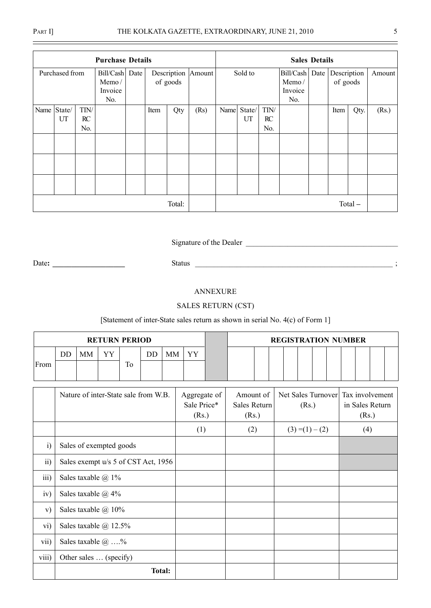$\equiv$ 

|        |                |      | <b>Purchase Details</b>              |      |      |                                |      |      |         |      |                                             | <b>Sales Details</b> |                         |        |        |
|--------|----------------|------|--------------------------------------|------|------|--------------------------------|------|------|---------|------|---------------------------------------------|----------------------|-------------------------|--------|--------|
|        | Purchased from |      | Bill/Cash<br>Memo/<br>Invoice<br>No. | Date |      | Description Amount<br>of goods |      |      | Sold to |      | Bill/Cash   Date<br>Memo/<br>Invoice<br>No. |                      | Description<br>of goods |        | Amount |
| Name   | State/         | TIN/ |                                      |      | Item | Qty                            | (Rs) | Name | State/  | TIN/ |                                             |                      | Item                    | Qty.   | (Rs.)  |
|        | UT             | RC   |                                      |      |      |                                |      |      | UT      | RC   |                                             |                      |                         |        |        |
|        |                | No.  |                                      |      |      |                                |      |      |         | No.  |                                             |                      |                         |        |        |
|        |                |      |                                      |      |      |                                |      |      |         |      |                                             |                      |                         |        |        |
|        |                |      |                                      |      |      |                                |      |      |         |      |                                             |                      |                         |        |        |
|        |                |      |                                      |      |      |                                |      |      |         |      |                                             |                      |                         |        |        |
| Total: |                |      |                                      |      |      |                                |      |      |         |      |                                             |                      |                         | Total- |        |

Signature of the Dealer \_\_\_\_\_\_\_\_\_\_\_\_\_\_\_\_\_\_\_\_\_\_\_\_\_\_\_\_\_\_\_\_\_\_\_\_\_\_\_\_

Date: \_\_\_\_\_\_\_\_\_\_\_\_\_\_\_\_\_\_\_ Status \_\_\_\_\_\_\_\_\_\_\_\_\_\_\_\_\_\_\_\_\_\_\_\_\_\_\_\_\_\_\_\_\_\_\_\_\_\_\_\_\_\_\_\_\_\_\_\_\_\_\_\_ ;

#### ANNEXURE

# SALES RETURN (CST)

#### [Statement of inter-State sales return as shown in serial No. 4(c) of Form 1]

|                  |    |    | <b>RETURN PERIOD</b>                 |    |               |    |                                      |                                    |  |       |                    | <b>REGISTRATION NUMBER</b> |                                             |  |
|------------------|----|----|--------------------------------------|----|---------------|----|--------------------------------------|------------------------------------|--|-------|--------------------|----------------------------|---------------------------------------------|--|
| From             | DD | MM | YY                                   | To | DD            | MM | YY                                   |                                    |  |       |                    |                            |                                             |  |
|                  |    |    |                                      |    |               |    |                                      |                                    |  |       |                    |                            |                                             |  |
|                  |    |    | Nature of inter-State sale from W.B. |    |               |    | Aggregate of<br>Sale Price*<br>(Rs.) | Amount of<br>Sales Return<br>(Rs.) |  | (Rs.) | Net Sales Turnover |                            | Tax involvement<br>in Sales Return<br>(Rs.) |  |
|                  |    |    |                                      |    |               |    | (1)                                  | (2)                                |  |       | $(3) = (1) - (2)$  |                            | (4)                                         |  |
| $\ddot{1}$       |    |    | Sales of exempted goods              |    |               |    |                                      |                                    |  |       |                    |                            |                                             |  |
| $\overline{11}$  |    |    | Sales exempt u/s 5 of CST Act, 1956  |    |               |    |                                      |                                    |  |       |                    |                            |                                             |  |
| $\overline{iii}$ |    |    | Sales taxable $@1\%$                 |    |               |    |                                      |                                    |  |       |                    |                            |                                             |  |
| iv)              |    |    | Sales taxable $@$ 4%                 |    |               |    |                                      |                                    |  |       |                    |                            |                                             |  |
| V)               |    |    | Sales taxable @ 10%                  |    |               |    |                                      |                                    |  |       |                    |                            |                                             |  |
| $\overline{vi}$  |    |    | Sales taxable @ 12.5%                |    |               |    |                                      |                                    |  |       |                    |                            |                                             |  |
| vii)             |    |    | Sales taxable $@$ %                  |    |               |    |                                      |                                    |  |       |                    |                            |                                             |  |
| viii)            |    |    | Other sales  (specify)               |    |               |    |                                      |                                    |  |       |                    |                            |                                             |  |
|                  |    |    |                                      |    | <b>Total:</b> |    |                                      |                                    |  |       |                    |                            |                                             |  |